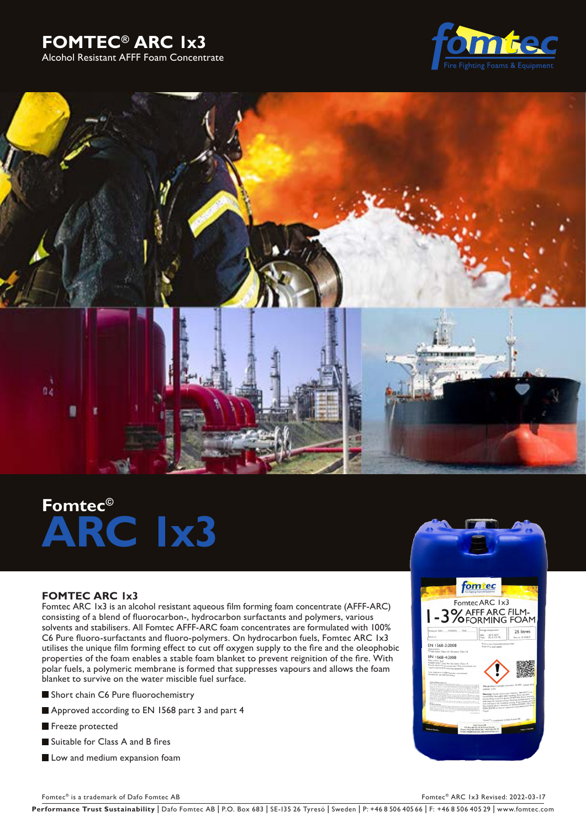





# **Fomtec© ARC 1x3**

## **FOMTEC ARC 1x3**

Fomtec ARC 1x3 is an alcohol resistant aqueous film forming foam concentrate (AFFF-ARC) consisting of a blend of fluorocarbon-, hydrocarbon surfactants and polymers, various solvents and stabilisers. All Fomtec AFFF-ARC foam concentrates are formulated with 100% C6 Pure fluoro-surfactants and fluoro-polymers. On hydrocarbon fuels, Fomtec ARC 1x3 utilises the unique film forming effect to cut off oxygen supply to the fire and the oleophobic properties of the foam enables a stable foam blanket to prevent reignition of the fire. With polar fuels, a polymeric membrane is formed that suppresses vapours and allows the foam blanket to survive on the water miscible fuel surface.

- Short chain C6 Pure fluorochemistry
- Approved according to EN 1568 part 3 and part 4
- Freeze protected
- Suitable for Class A and B fires
- **Low and medium expansion foam**



Fomtec® is a trademark of Dafo Fomtec AB Fomtec® ARC 1x3 Revised: 2022-03-17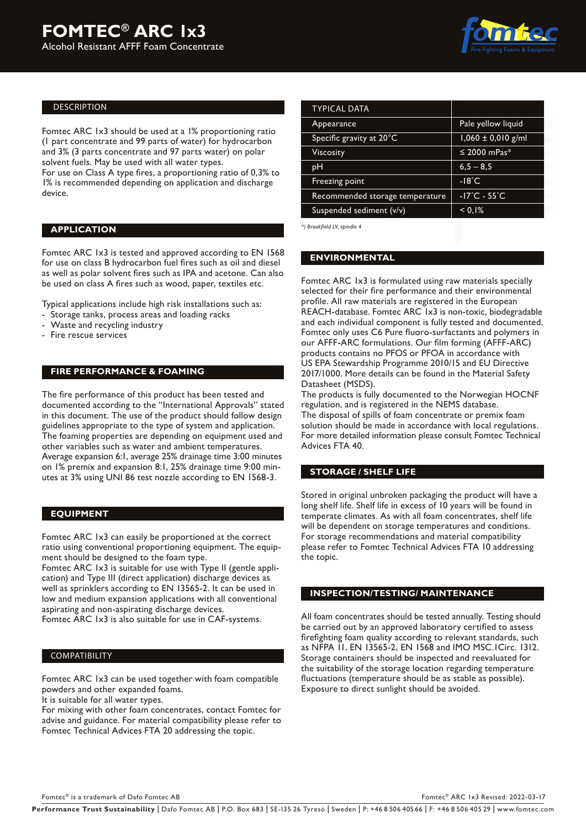

## DESCRIPTION

Fomtec ARC 1x3 should be used at a 1% proportioning ratio (1 part concentrate and 99 parts of water) for hydrocarbon and 3% (3 parts concentrate and 97 parts water) on polar solvent fuels. May be used with all water types.

For use on Class A type fires, a proportioning ratio of 0,3% to 1% is recommended depending on application and discharge device.

## **APPLICATION**

Fomtec ARC 1x3 is tested and approved according to EN 1568 for use on class B hydrocarbon fuel fires such as oil and diesel as well as polar solvent fires such as IPA and acetone. Can also be used on class A fires such as wood, paper, textiles etc.

Typical applications include high risk installations such as:

- Storage tanks, process areas and loading racks
- Waste and recycling industry
- Fire rescue services

## **FIRE PERFORMANCE & FOAMING**

The fire performance of this product has been tested and documented according to the "International Approvals" stated in this document. The use of the product should follow design guidelines appropriate to the type of system and application. The foaming properties are depending on equipment used and other variables such as water and ambient temperatures. Average expansion 6:1, average 25% drainage time 3:00 minutes on 1% premix and expansion 8:1, 25% drainage time 9:00 minutes at 3% using UNI 86 test nozzle according to EN 1568-3.

## **EQUIPMENT**

Fomtec ARC 1x3 can easily be proportioned at the correct ratio using conventional proportioning equipment. The equipment should be designed to the foam type.

Fomtec ARC 1x3 is suitable for use with Type II (gentle application) and Type III (direct application) discharge devices as well as sprinklers according to EN 13565-2. It can be used in low and medium expansion applications with all conventional aspirating and non-aspirating discharge devices. Fomtec ARC 1x3 is also suitable for use in CAF-systems.

#### COMPATIBILITY

Fomtec ARC 1x3 can be used together with foam compatible powders and other expanded foams.

It is suitable for all water types. For mixing with other foam concentrates, contact Fomtec for

advise and guidance. For material compatibility please refer to Fomtec Technical Advices FTA 20 addressing the topic.

| <b>TYPICAL DATA</b>             |                                   |  |
|---------------------------------|-----------------------------------|--|
| Appearance                      | Pale yellow liquid                |  |
|                                 |                                   |  |
| Specific gravity at 20°C        | $1,060 \pm 0,010$ g/ml            |  |
| Viscosity                       | $\leq$ 2000 mPas*                 |  |
| pН                              | $6,5 - 8,5$                       |  |
| <b>Freezing point</b>           | $-18^{\circ}$ C                   |  |
| Recommended storage temperature | $-17^{\circ}$ C - 55 $^{\circ}$ C |  |
| Suspended sediment (v/v)        | < 0.1%                            |  |

*\*) Brookfield LV, spindle 4*

## **ENVIRONMENTAL**

Fomtec ARC 1x3 is formulated using raw materials specially selected for their fire performance and their environmental profile. All raw materials are registered in the European REACH-database. Fomtec ARC 1x3 is non-toxic, biodegradable and each individual component is fully tested and documented. Fomtec only uses C6 Pure fluoro-surfactants and polymers in our AFFF-ARC formulations. Our film forming (AFFF-ARC) products contains no PFOS or PFOA in accordance with US EPA Stewardship Programme 2010/15 and EU Directive 2017/1000. More details can be found in the Material Safety Datasheet (MSDS).

The products is fully documented to the Norwegian HOCNF regulation, and is registered in the NEMS database. The disposal of spills of foam concentrate or premix foam solution should be made in accordance with local regulations. For more detailed information please consult Fomtec Technical Advices FTA 40.

### **STORAGE / SHELF LIFE**

Stored in original unbroken packaging the product will have a long shelf life. Shelf life in excess of 10 years will be found in temperate climates. As with all foam concentrates, shelf life will be dependent on storage temperatures and conditions. For storage recommendations and material compatibility please refer to Fomtec Technical Advices FTA 10 addressing the topic.

## **INSPECTION/TESTING/ MAINTENANCE**

All foam concentrates should be tested annually. Testing should be carried out by an approved laboratory certified to assess firefighting foam quality according to relevant standards, such as NFPA 11, EN 13565-2, EN 1568 and IMO MSC.1Circ. 1312. Storage containers should be inspected and reevaluated for the suitability of the storage location regarding temperature fluctuations (temperature should be as stable as possible). Exposure to direct sunlight should be avoided.

Fomtec® is a trademark of Dafo Fomtec AB Fomtec® ARC 1x3 Revised: 2022-03-17

Performance Trust Sustainability | Dafo Fomtec AB | P.O. Box 683 | SE-135 26 Tyresö | Sweden | P: +46 8 506 405 66 | F: +46 8 506 405 29 | www.fomtec.com